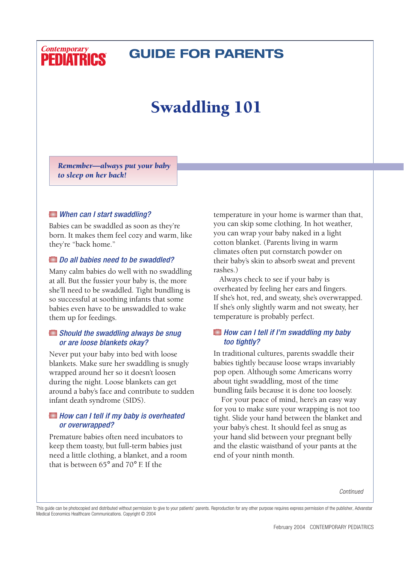### **Contemporary PEDIATRICS**

# **GUIDE FOR PARENTS**

# Swaddling 101

*Remember—always put your baby to sleep on her back!*

#### *When can I start swaddling?*

Babies can be swaddled as soon as they're born. It makes them feel cozy and warm, like they're "back home."

#### *Do all babies need to be swaddled?*

Many calm babies do well with no swaddling at all. But the fussier your baby is, the more she'll need to be swaddled. Tight bundling is so successful at soothing infants that some babies even have to be *un*swaddled to wake them up for feedings.

#### *Should the swaddling always be snug or are loose blankets okay?*

Never put your baby into bed with loose blankets. Make sure her swaddling is snugly wrapped around her so it doesn't loosen during the night. Loose blankets can get around a baby's face and contribute to sudden infant death syndrome (SIDS).

#### *How can I tell if my baby is overheated or overwrapped?*

Premature babies often need incubators to keep them toasty, but full-term babies just need a little clothing, a blanket, and a room that is between 65° and 70° F. If the

temperature in your home is warmer than that, you can skip some clothing. In hot weather, you can wrap your baby naked in a light cotton blanket. (Parents living in warm climates often put cornstarch powder on their baby's skin to absorb sweat and prevent rashes.)

Always check to see if your baby is overheated by feeling her ears and fingers. If she's hot, red, and sweaty, she's overwrapped. If she's only slightly warm and not sweaty, her temperature is probably perfect.

#### *How can I tell if I'm swaddling my baby too tightly?*

In traditional cultures, parents swaddle their babies tightly because loose wraps invariably pop open. Although some Americans worry about tight swaddling, most of the time bundling fails because it is done too loosely.

For your peace of mind, here's an easy way for you to make sure your wrapping is not too tight. Slide your hand between the blanket and your baby's chest. It should feel as snug as your hand slid between your pregnant belly and the elastic waistband of your pants at the end of your ninth month.

*Continued*

This guide can be photocopied and distributed without permission to give to your patients' parents. Reproduction for any other purpose requires express permission of the publisher, Advanstar Medical Economics Healthcare Communications. Copyright © 2004